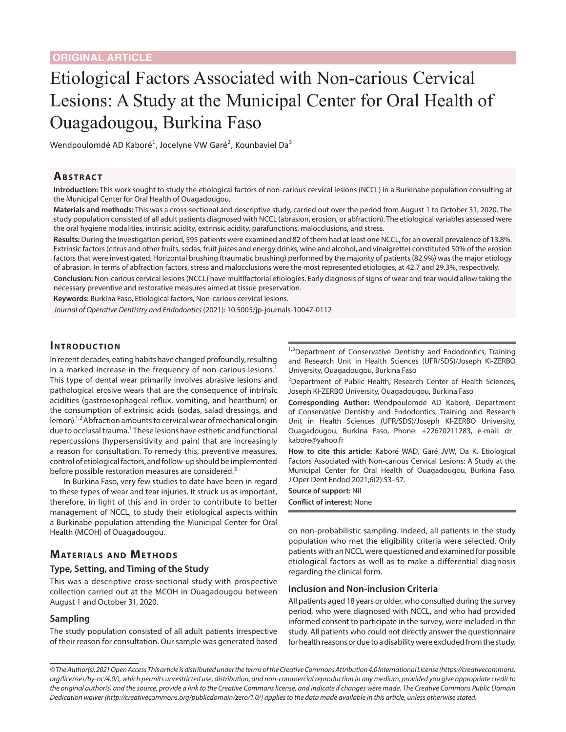# Etiological Factors Associated with Non-carious Cervical Lesions: A Study at the Municipal Center for Oral Health of Ouagadougou, Burkina Faso

Wendpoulomdé AD Kaboré<sup>1</sup>, Jocelyne VW Garé<sup>2</sup>, Kounbaviel Da<sup>3</sup>

# **ABSTRACT**

**Introduction:** This work sought to study the etiological factors of non-carious cervical lesions (NCCL) in a Burkinabe population consulting at the Municipal Center for Oral Health of Ouagadougou.

**Materials and methods:** This was a cross-sectional and descriptive study, carried out over the period from August 1 to October 31, 2020. The study population consisted of all adult patients diagnosed with NCCL (abrasion, erosion, or abfraction). The etiological variables assessed were the oral hygiene modalities, intrinsic acidity, extrinsic acidity, parafunctions, malocclusions, and stress.

**Results:** During the investigation period, 595 patients were examined and 82 of them had at least one NCCL, for an overall prevalence of 13.8%. Extrinsic factors (citrus and other fruits, sodas, fruit juices and energy drinks, wine and alcohol, and vinaigrette) constituted 50% of the erosion factors that were investigated. Horizontal brushing (traumatic brushing) performed by the majority of patients (82.9%) was the major etiology of abrasion. In terms of abfraction factors, stress and malocclusions were the most represented etiologies, at 42.7 and 29.3%, respectively.

**Conclusion:** Non-carious cervical lesions (NCCL) have multifactorial etiologies. Early diagnosis of signs of wear and tear would allow taking the necessary preventive and restorative measures aimed at tissue preservation.

**Keywords:** Burkina Faso, Etiological factors, Non-carious cervical lesions.

*Journal of Operative Dentistry and Endodontics* (2021): 10.5005/jp-journals-10047-0112

# **INTRODUCTION**

In recent decades, eating habits have changed profoundly, resulting in a marked increase in the frequency of non-carious lesions.<sup>1</sup> This type of dental wear primarily involves abrasive lesions and pathological erosive wears that are the consequence of intrinsic acidities (gastroesophageal reflux, vomiting, and heartburn) or the consumption of extrinsic acids (sodas, salad dressings, and  $l_{\rm em}$  lemon).<sup>1,[2](#page-3-1)</sup> Abfraction amounts to cervical wear of mechanical origin due to occlusal trauma.<sup>1</sup> These lesions have esthetic and functional repercussions (hypersensitivity and pain) that are increasingly a reason for consultation. To remedy this, preventive measures, control of etiological factors, and follow-up should be implemented before possible restoration measures are considered.<sup>[3](#page-3-2)</sup>

In Burkina Faso, very few studies to date have been in regard to these types of wear and tear injuries. It struck us as important, therefore, in light of this and in order to contribute to better management of NCCL, to study their etiological aspects within a Burkinabe population attending the Municipal Center for Oral Health (MCOH) of Ouagadougou.

# **MATERIALS AND METHODS**

## **Type, Setting, and Timing of the Study**

This was a descriptive cross-sectional study with prospective collection carried out at the MCOH in Ouagadougou between August 1 and October 31, 2020.

#### **Sampling**

The study population consisted of all adult patients irrespective of their reason for consultation. Our sample was generated based <sup>1,3</sup>Department of Conservative Dentistry and Endodontics, Training and Research Unit in Health Sciences (UFR/SDS)/Joseph KI-ZERBO University, Ouagadougou, Burkina Faso

<sup>2</sup>Department of Public Health, Research Center of Health Sciences, Joseph KI-ZERBO University, Ouagadougou, Burkina Faso

**Corresponding Author:** Wendpoulomdé AD Kaboré, Department of Conservative Dentistry and Endodontics, Training and Research Unit in Health Sciences (UFR/SDS)/Joseph KI-ZERBO University, Ouagadougou, Burkina Faso, Phone: +22670211283, e-mail: dr\_ kabore@yahoo.fr

**How to cite this article:** Kaboré WAD, Garé JVW, Da K. Etiological Factors Associated with Non-carious Cervical Lesions: A Study at the Municipal Center for Oral Health of Ouagadougou, Burkina Faso. J Oper Dent Endod 2021;6(2):53–57.

**Source of support:** Nil **Conflict of interest:** None

on non-probabilistic sampling. Indeed, all patients in the study population who met the eligibility criteria were selected. Only patients with an NCCL were questioned and examined for possible etiological factors as well as to make a differential diagnosis regarding the clinical form.

#### **Inclusion and Non-inclusion Criteria**

All patients aged 18 years or older, who consulted during the survey period, who were diagnosed with NCCL, and who had provided informed consent to participate in the survey, were included in the study. All patients who could not directly answer the questionnaire for health reasons or due to a disability were excluded from the study.

*<sup>©</sup> The Author(s). 2021 Open Access This article is distributed under the terms of the Creative Commons Attribution 4.0 International License ([https://creativecommons.](https://creativecommons. org/licenses/by-nc/4.0/)  [org/licenses/by-nc/4.0/](https://creativecommons. org/licenses/by-nc/4.0/)), which permits unrestricted use, distribution, and non-commercial reproduction in any medium, provided you give appropriate credit to the original author(s) and the source, provide a link to the Creative Commons license, and indicate if changes were made. The Creative Commons Public Domain Dedication waiver ([http://creativecommons.org/publicdomain/zero/1.0/\)](http://creativecommons.org/publicdomain/zero/1.0/) applies to the data made available in this article, unless otherwise stated.*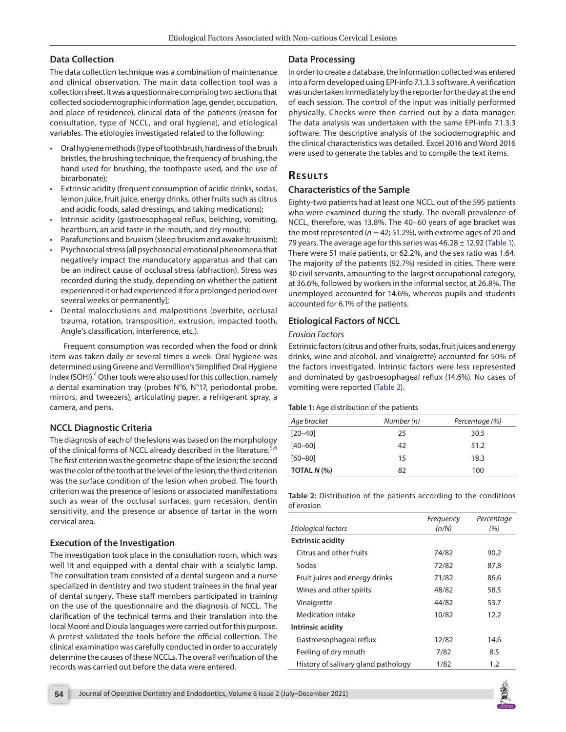## **Data Collection**

The data collection technique was a combination of maintenance and clinical observation. The main data collection tool was a collection sheet. It was a questionnaire comprising two sections that collected sociodemographic information (age, gender, occupation, and place of residence), clinical data of the patients (reason for consultation, type of NCCL, and oral hygiene), and etiological variables. The etiologies investigated related to the following:

- Oral hygiene methods (type of toothbrush, hardness of the brush bristles, the brushing technique, the frequency of brushing, the hand used for brushing, the toothpaste used, and the use of bicarbonate);
- Extrinsic acidity (frequent consumption of acidic drinks, sodas, lemon juice, fruit juice, energy drinks, other fruits such as citrus and acidic foods, salad dressings, and taking medications);
- Intrinsic acidity (gastroesophageal reflux, belching, vomiting, heartburn, an acid taste in the mouth, and dry mouth);
- Parafunctions and bruxism (sleep bruxism and awake bruxism);
- Psychosocial stress [all psychosocial emotional phenomena that negatively impact the manducatory apparatus and that can be an indirect cause of occlusal stress (abfraction). Stress was recorded during the study, depending on whether the patient experienced it or had experienced it for a prolonged period over several weeks or permanently];
- Dental malocclusions and malpositions (overbite, occlusal trauma, rotation, transposition, extrusion, impacted tooth, Angle's classification, interference, etc.).

Frequent consumption was recorded when the food or drink item was taken daily or several times a week. Oral hygiene was determined using Greene and Vermillion's Simplified Oral Hygiene Index (SOHI).<sup>[4](#page-3-3)</sup> Other tools were also used for this collection, namely a dental examination tray (probes N°6, N°17, periodontal probe, mirrors, and tweezers), articulating paper, a refrigerant spray, a camera, and pens.

# **NCCL Diagnostic Criteria**

The diagnosis of each of the lesions was based on the morphology of the clinical forms of NCCL already described in the literature.<sup>[5](#page-3-4),[6](#page-3-5)</sup> The first criterion was the geometric shape of the lesion; the second was the color of the tooth at the level of the lesion; the third criterion was the surface condition of the lesion when probed. The fourth criterion was the presence of lesions or associated manifestations such as wear of the occlusal surfaces, gum recession, dentin sensitivity, and the presence or absence of tartar in the worn cervical area.

#### **Execution of the Investigation**

The investigation took place in the consultation room, which was well lit and equipped with a dental chair with a scialytic lamp. The consultation team consisted of a dental surgeon and a nurse specialized in dentistry and two student trainees in the final year of dental surgery. These staff members participated in training on the use of the questionnaire and the diagnosis of NCCL. The clarification of the technical terms and their translation into the local Mooré and Dioula languages were carried out for this purpose. A pretest validated the tools before the official collection. The clinical examination was carefully conducted in order to accurately determine the causes of these NCCLs. The overall verification of the records was carried out before the data were entered.

# **Data Processing**

In order to create a database, the information collected was entered into a form developed using EPI-info 7.1.3.3 software. A verification was undertaken immediately by the reporter for the day at the end of each session. The control of the input was initially performed physically. Checks were then carried out by a data manager. The data analysis was undertaken with the same EPI-info 7.1.3.3 software. The descriptive analysis of the sociodemographic and the clinical characteristics was detailed. Excel 2016 and Word 2016 were used to generate the tables and to compile the text items.

# **Re s u lts**

### **Characteristics of the Sample**

Eighty-two patients had at least one NCCL out of the 595 patients who were examined during the study. The overall prevalence of NCCL, therefore, was 13.8%. The 40–60 years of age bracket was the most represented ( $n = 42$ ; 51.2%), with extreme ages of 20 and 79 years. The average age for this series was  $46.28 \pm 12.92$  ([Table 1\)](#page-1-0). There were 51 male patients, or 62.2%, and the sex ratio was 1.64. The majority of the patients (92.7%) resided in cities. There were 30 civil servants, amounting to the largest occupational category, at 36.6%, followed by workers in the informal sector, at 26.8%. The unemployed accounted for 14.6%, whereas pupils and students accounted for 6.1% of the patients.

# **Etiological Factors of NCCL**

#### *Erosion Factors*

Extrinsic factors (citrus and other fruits, sodas, fruit juices and energy drinks, wine and alcohol, and vinaigrette) accounted for 50% of the factors investigated. Intrinsic factors were less represented and dominated by gastroesophageal reflux (14.6%). No cases of vomiting were reported ([Table 2](#page-1-1)).

#### <span id="page-1-0"></span>**Table 1:** Age distribution of the patients

| Age bracket   | Number (n) | Percentage (%) |  |  |
|---------------|------------|----------------|--|--|
| $[20 - 40]$   | 25         | 30.5           |  |  |
| $[40 - 60]$   | 42         | 51.2           |  |  |
| $[60 - 80]$   | 15         | 18.3           |  |  |
| TOTAL $N$ (%) | 82         | 100            |  |  |

<span id="page-1-1"></span>**Table 2:** Distribution of the patients according to the conditions of erosion

| Etiological factors                 | Frequency<br>(n/N) | Percentage<br>(%) |
|-------------------------------------|--------------------|-------------------|
| <b>Extrinsic acidity</b>            |                    |                   |
| Citrus and other fruits             | 74/82              | 90.2              |
| Sodas                               | 72/82              | 87.8              |
| Fruit juices and energy drinks      | 71/82              | 86.6              |
| Wines and other spirits             | 48/82              | 58.5              |
| Vinaigrette                         | 44/82              | 53.7              |
| Medication intake                   | 10/82              | 12.2              |
| Intrinsic acidity                   |                    |                   |
| Gastroesophageal reflux             | 12/82              | 14.6              |
| Feeling of dry mouth                | 7/82               | 8.5               |
| History of salivary gland pathology | 1/82               | 1.2               |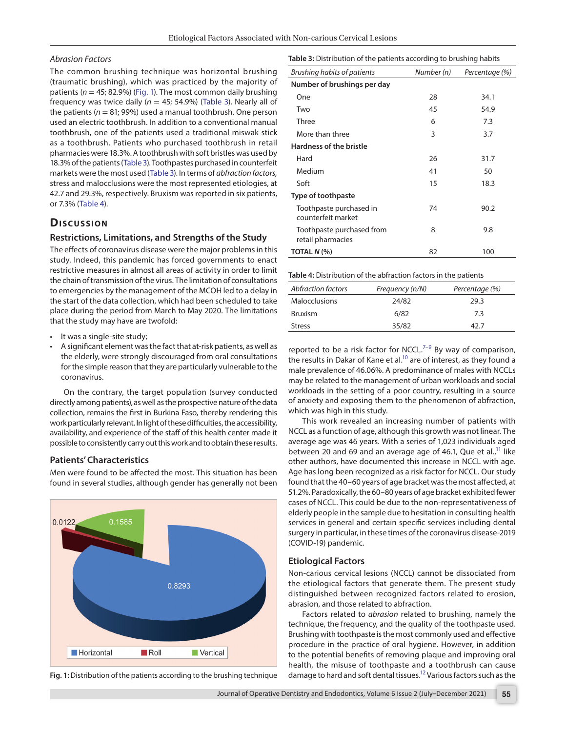#### *Abrasion Factors*

The common brushing technique was horizontal brushing (traumatic brushing), which was practiced by the majority of patients (*n* = 45; 82.9%) ([Fig. 1](#page-2-0)). The most common daily brushing frequency was twice daily ( $n = 45$ ; 54.9%) ([Table 3](#page-2-1)). Nearly all of the patients ( $n = 81$ ; 99%) used a manual toothbrush. One person used an electric toothbrush. In addition to a conventional manual toothbrush, one of the patients used a traditional miswak stick as a toothbrush. Patients who purchased toothbrush in retail pharmacies were 18.3%. A toothbrush with soft bristles was used by 18.3% of the patients ([Table 3\)](#page-2-1). Toothpastes purchased in counterfeit markets were the most used [\(Table 3](#page-2-1)). In terms of *abfraction factors,*  stress and malocclusions were the most represented etiologies, at 42.7 and 29.3%, respectively. Bruxism was reported in six patients, or 7.3% ([Table 4\)](#page-2-2).

# **Dis c u s sio n**

#### **Restrictions, Limitations, and Strengths of the Study**

The effects of coronavirus disease were the major problems in this study. Indeed, this pandemic has forced governments to enact restrictive measures in almost all areas of activity in order to limit the chain of transmission of the virus. The limitation of consultations to emergencies by the management of the MCOH led to a delay in the start of the data collection, which had been scheduled to take place during the period from March to May 2020. The limitations that the study may have are twofold:

- It was a single-site study;
- A significant element was the fact that at-risk patients, as well as the elderly, were strongly discouraged from oral consultations for the simple reason that they are particularly vulnerable to the coronavirus.

On the contrary, the target population (survey conducted directly among patients), as well as the prospective nature of the data collection, remains the first in Burkina Faso, thereby rendering this work particularly relevant. In light of these difficulties, the accessibility, availability, and experience of the staff of this health center made it possible to consistently carry out this work and to obtain these results.

#### **Patients' Characteristics**

Men were found to be affected the most. This situation has been found in several studies, although gender has generally not been



<span id="page-2-0"></span>**Fig. 1:** Distribution of the patients according to the brushing technique

<span id="page-2-1"></span>**Table 3:** Distribution of the patients according to brushing habits

| Brushing habits of patients                    | Number (n) | Percentage (%) |
|------------------------------------------------|------------|----------------|
| Number of brushings per day                    |            |                |
| One                                            | 28         | 34.1           |
| Two                                            | 45         | 54.9           |
| Three                                          | 6          | 7.3            |
| More than three                                | 3          | 3.7            |
| Hardness of the bristle                        |            |                |
| Hard                                           | 26         | 31.7           |
| Medium                                         | 41         | 50             |
| Soft                                           | 15         | 18.3           |
| Type of toothpaste                             |            |                |
| Toothpaste purchased in<br>counterfeit market  | 74         | 90.2           |
| Toothpaste purchased from<br>retail pharmacies | 8          | 9.8            |
| TOTAL $N$ (%)                                  | 82         | 100            |

<span id="page-2-2"></span>**Table 4:** Distribution of the abfraction factors in the patients

| Abfraction factors | Frequency (n/N) | Percentage (%) |
|--------------------|-----------------|----------------|
| Malocclusions      | 24/82           | 29.3           |
| <b>Bruxism</b>     | 6/82            | 7.3            |
| <b>Stress</b>      | 35/82           | 42 7           |
|                    |                 |                |

reported to be a risk factor for NCCL.<sup>7-[9](#page-3-7)</sup> By way of comparison, the results in Dakar of Kane et al.<sup>10</sup> are of interest, as they found a male prevalence of 46.06%. A predominance of males with NCCLs may be related to the management of urban workloads and social workloads in the setting of a poor country, resulting in a source of anxiety and exposing them to the phenomenon of abfraction, which was high in this study.

This work revealed an increasing number of patients with NCCL as a function of age, although this growth was not linear. The average age was 46 years. With a series of 1,023 individuals aged between 20 and 69 and an average age of 46.1, Que et al.,<sup>11</sup> like other authors, have documented this increase in NCCL with age. Age has long been recognized as a risk factor for NCCL. Our study found that the 40–60 years of age bracket was the most affected, at 51.2%. Paradoxically, the 60–80 years of age bracket exhibited fewer cases of NCCL. This could be due to the non-representativeness of elderly people in the sample due to hesitation in consulting health services in general and certain specific services including dental surgery in particular, in these times of the coronavirus disease-2019 (COVID-19) pandemic.

#### **Etiological Factors**

Non-carious cervical lesions (NCCL) cannot be dissociated from the etiological factors that generate them. The present study distinguished between recognized factors related to erosion, abrasion, and those related to abfraction.

Factors related to *abrasion* related to brushing, namely the technique, the frequency, and the quality of the toothpaste used. Brushing with toothpaste is the most commonly used and effective procedure in the practice of oral hygiene. However, in addition to the potential benefits of removing plaque and improving oral health, the misuse of toothpaste and a toothbrush can cause damage to hard and soft dental tissues.<sup>12</sup> Various factors such as the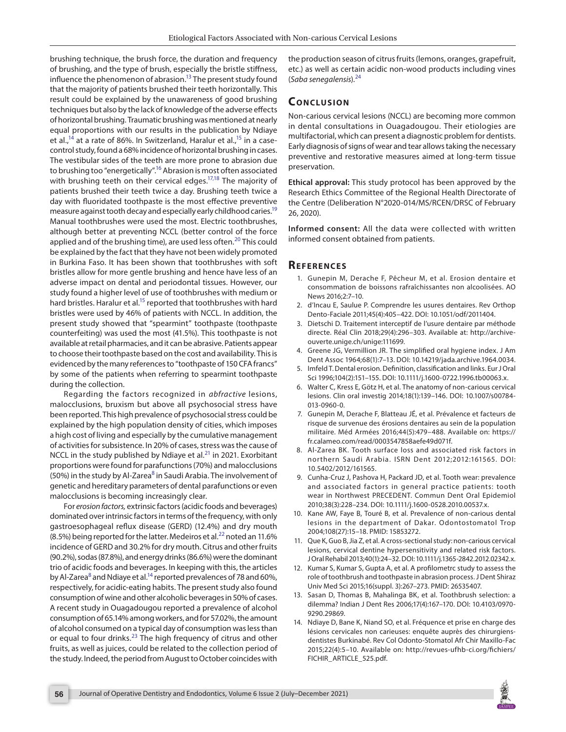brushing technique, the brush force, the duration and frequency of brushing, and the type of brush, especially the bristle stiffness, influence the phenomenon of abrasion.<sup>13</sup> The present study found that the majority of patients brushed their teeth horizontally. This result could be explained by the unawareness of good brushing techniques but also by the lack of knowledge of the adverse effects of horizontal brushing. Traumatic brushing was mentioned at nearly equal proportions with our results in the publication by Ndiaye et al.,<sup>14</sup> at a rate of 86%. In Switzerland, Haralur et al.,<sup>15</sup> in a casecontrol study, found a 68% incidence of horizontal brushing in cases. The vestibular sides of the teeth are more prone to abrasion due to brushing too "energetically".<sup>16</sup> Abrasion is most often associated with brushing teeth on their cervical edges.<sup>17[,18](#page-4-3)</sup> The majority of patients brushed their teeth twice a day. Brushing teeth twice a day with fluoridated toothpaste is the most effective preventive measure against tooth decay and especially early childhood caries.<sup>19</sup> Manual toothbrushes were used the most. Electric toothbrushes, although better at preventing NCCL (better control of the force applied and of the brushing time), are used less often.<sup>[20](#page-4-5)</sup> This could be explained by the fact that they have not been widely promoted in Burkina Faso. It has been shown that toothbrushes with soft bristles allow for more gentle brushing and hence have less of an adverse impact on dental and periodontal tissues. However, our study found a higher level of use of toothbrushes with medium or hard bristles. Haralur et al.<sup>15</sup> reported that toothbrushes with hard bristles were used by 46% of patients with NCCL. In addition, the present study showed that "spearmint" toothpaste (toothpaste counterfeiting) was used the most (41.5%). This toothpaste is not available at retail pharmacies, and it can be abrasive. Patients appear to choose their toothpaste based on the cost and availability. This is evidenced by the many references to "toothpaste of 150 CFA francs" by some of the patients when referring to spearmint toothpaste during the collection.

Regarding the factors recognized in *abfractive* lesions, malocclusions, bruxism but above all psychosocial stress have been reported. This high prevalence of psychosocial stress could be explained by the high population density of cities, which imposes a high cost of living and especially by the cumulative management of activities for subsistence. In 20% of cases, stress was the cause of NCCL in the study published by Ndiaye et al. $^{21}$  in 2021. Exorbitant proportions were found for parafunctions (70%) and malocclusions (50%) in the study by Al-Zarea<sup>[8](#page-3-13)</sup> in Saudi Arabia. The involvement of genetic and hereditary parameters of dental parafunctions or even malocclusions is becoming increasingly clear.

For *erosion factors,* extrinsic factors (acidic foods and beverages) dominated over intrinsic factors in terms of the frequency, with only gastroesophageal reflux disease (GERD) (12.4%) and dry mouth (8.5%) being reported for the latter. Medeiros et al. $^{22}$  $^{22}$  $^{22}$  noted an 11.6% incidence of GERD and 30.2% for dry mouth. Citrus and other fruits (90.2%), sodas (87.8%), and energy drinks (86.6%) were the dominant trio of acidic foods and beverages. In keeping with this, the articles by Al-Zarea<sup>[8](#page-3-13)</sup> and Ndiaye et al.<sup>14</sup> reported prevalences of 78 and 60%, respectively, for acidic-eating habits. The present study also found consumption of wine and other alcoholic beverages in 50% of cases. A recent study in Ouagadougou reported a prevalence of alcohol consumption of 65.14% among workers, and for 57.02%, the amount of alcohol consumed on a typical day of consumption was less than or equal to four drinks.<sup>23</sup> The high frequency of citrus and other fruits, as well as juices, could be related to the collection period of the study. Indeed, the period from August to October coincides with

the production season of citrus fruits (lemons, oranges, grapefruit, etc.) as well as certain acidic non-wood products including vines (*Saba senegalensis*).[24](#page-4-9)

# **CONCLUSION**

Non-carious cervical lesions (NCCL) are becoming more common in dental consultations in Ouagadougou. Their etiologies are multifactorial, which can present a diagnostic problem for dentists. Early diagnosis of signs of wear and tear allows taking the necessary preventive and restorative measures aimed at long-term tissue preservation.

**Ethical approval:** This study protocol has been approved by the Research Ethics Committee of the Regional Health Directorate of the Centre (Deliberation N°2020-014/MS/RCEN/DRSC of February 26, 2020).

**Informed consent:** All the data were collected with written informed consent obtained from patients.

### **REFERENCES**

- <span id="page-3-0"></span>1. Gunepin M, Derache F, Pêcheur M, et al. Erosion dentaire et consommation de boissons rafraîchissantes non alcoolisées. AO News 2016;2:7–10.
- <span id="page-3-1"></span>2. d'Incau E, Saulue P. Comprendre les usures dentaires. Rev Orthop Dento-Faciale 2011;45(4):405–422. DOI: 10.1051/odf/2011404.
- <span id="page-3-2"></span>3. Dietschi D. Traitement interceptif de l'usure dentaire par méthode directe. Réal Clin 2018;29(4):296–303. Available at: http://archiveouverte.unige.ch/unige:111699.
- <span id="page-3-3"></span>4. Greene JG, Vermillion JR. The simplified oral hygiene index. J Am Dent Assoc 1964;68(1):7–13. DOI: 10.14219/jada.archive.1964.0034.
- <span id="page-3-4"></span>5. Imfeld T. Dental erosion. Definition, classification and links. Eur J Oral Sci 1996;104(2):151–155. DOI: 10.1111/j.1600-0722.1996.tb00063.x.
- <span id="page-3-5"></span>6. Walter C, Kress E, Götz H, et al. The anatomy of non-carious cervical lesions. Clin oral investig 2014;18(1):139–146. DOI: 10.1007/s00784- 013-0960-0.
- <span id="page-3-6"></span>7. Gunepin M, Derache F, Blatteau JÉ, et al. Prévalence et facteurs de risque de survenue des érosions dentaires au sein de la population militaire. Méd Armées 2016;44(5):479–488. Available on: https:// fr.calameo.com/read/0003547858aefe49d071f.
- <span id="page-3-13"></span>8. Al-Zarea BK. Tooth surface loss and associated risk factors in northern Saudi Arabia. ISRN Dent 2012;2012:161565. DOI: 10.5402/2012/161565.
- <span id="page-3-7"></span>9. Cunha-Cruz J, Pashova H, Packard JD, et al. Tooth wear: prevalence and associated factors in general practice patients: tooth wear in Northwest PRECEDENT. Commun Dent Oral Epidemiol 2010;38(3):228–234. DOI: 10.1111/j.1600-0528.2010.00537.x.
- <span id="page-3-8"></span>10. Kane AW, Faye B, Touré B, et al. Prevalence of non-carious dental lesions in the department of Dakar. Odontostomatol Trop 2004;108(27):15–18. PMID: 15853272.
- <span id="page-3-9"></span>11. Que K, Guo B, Jia Z, et al. A cross-sectional study: non-carious cervical lesions, cervical dentine hypersensitivity and related risk factors. J Oral Rehabil 2013;40(1):24–32. DOI: 10.1111/j.1365-2842.2012.02342.x.
- <span id="page-3-10"></span>12. Kumar S, Kumar S, Gupta A, et al. A profilometrc study to assess the role of toothbrush and toothpaste in abrasion process. J Dent Shiraz Univ Med Sci 2015;16(suppl. 3):267–273. PMID: 26535407.
- <span id="page-3-11"></span>13. Sasan D, Thomas B, Mahalinga BK, et al. Toothbrush selection: a dilemma? Indian J Dent Res 2006;17(4):167–170. DOI: 10.4103/0970- 9290.29869.
- <span id="page-3-12"></span>14. Ndiaye D, Bane K, Niand SO, et al. Fréquence et prise en charge des lésions cervicales non carieuses: enquête auprès des chirurgiensdentistes Burkinabé. Rev Col Odonto-Stomatol Afr Chir Maxillo-Fac 2015;22(4):5–10. Available on: http://revues-ufhb-ci.org/fichiers/ FICHIR\_ARTICLE\_525.pdf.